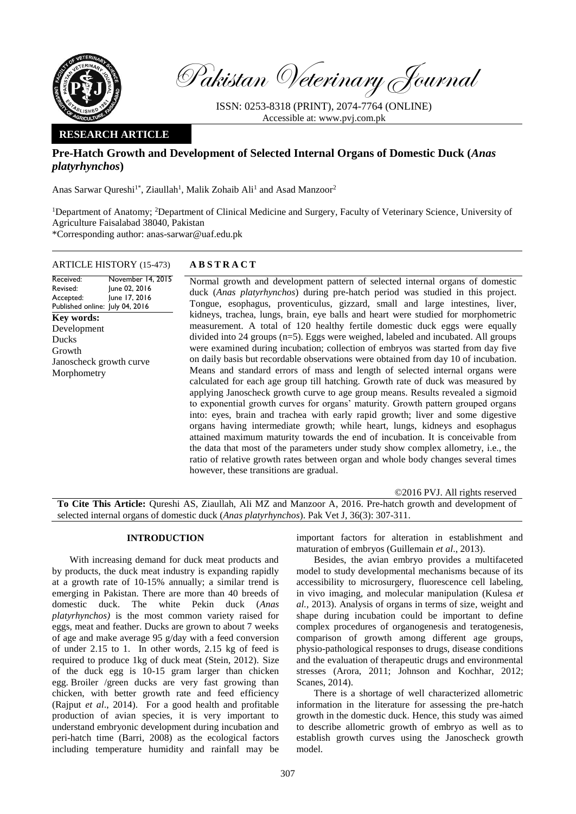

Received: Revised: Accepted:

Ducks Growth

Pakistan Veterinary Journal

ISSN: 0253-8318 (PRINT), 2074-7764 (ONLINE) Accessible at: [www.pvj.com.pk](http://www.pvj.com.pk/)

# **RESEARCH ARTICLE**

# **Pre-Hatch Growth and Development of Selected Internal Organs of Domestic Duck (***Anas platyrhynchos***)**

Anas Sarwar Qureshi<sup>1\*</sup>, Ziaullah<sup>1</sup>, Malik Zohaib Ali<sup>1</sup> and Asad Manzoor<sup>2</sup>

<sup>1</sup>Department of Anatomy; <sup>2</sup>Department of Clinical Medicine and Surgery, Faculty of Veterinary Science, University of Agriculture Faisalabad 38040, Pakistan \*Corresponding author: anas-sarwar@uaf.edu.pk

ARTICLE HISTORY (15-473) **A B S T R A C T**

Published online: July 04, 2016 November 14, 2015 June 02, 2016 June 17, 2016 Normal growth and development pattern of selected internal organs of domestic duck (*Anas platyrhynchos*) during pre-hatch period was studied in this project. Tongue, esophagus, proventiculus, gizzard, small and large intestines, liver, kidneys, trachea, lungs, brain, eye balls and heart were studied for morphometric measurement. A total of 120 healthy fertile domestic duck eggs were equally divided into 24 groups (n=5). Eggs were weighed, labeled and incubated. All groups were examined during incubation; collection of embryos was started from day five on daily basis but recordable observations were obtained from day 10 of incubation. Means and standard errors of mass and length of selected internal organs were calculated for each age group till hatching. Growth rate of duck was measured by applying Janoscheck growth curve to age group means. Results revealed a sigmoid to exponential growth curves for organs' maturity. Growth pattern grouped organs into: eyes, brain and trachea with early rapid growth; liver and some digestive organs having intermediate growth; while heart, lungs, kidneys and esophagus attained maximum maturity towards the end of incubation. It is conceivable from the data that most of the parameters under study show complex allometry, i.e., the ratio of relative growth rates between organ and whole body changes several times however, these transitions are gradual. **Key words:**  Development Janoscheck growth curve Morphometry

©2016 PVJ. All rights reserved **To Cite This Article:** Qureshi AS, Ziaullah, Ali MZ and Manzoor A, 2016. Pre-hatch growth and development of selected internal organs of domestic duck (*Anas platyrhynchos*). Pak Vet J, 36(3): 307-311.

## **INTRODUCTION**

With increasing demand for duck meat products and by products, the duck meat industry is expanding rapidly at a growth rate of 10-15% annually; a similar trend is emerging in Pakistan. There are more than 40 breeds of domestic duck. The white Pekin duck (*Anas platyrhynchos)* is the most common variety raised for eggs, meat and feather. Ducks are grown to about 7 weeks of age and make average 95 g/day with a feed conversion of under 2.15 to 1. In other words, 2.15 kg of feed is required to produce 1kg of duck meat (Stein, 2012). Size of the duck egg is 10-15 gram larger than chicken egg. Broiler /green ducks are very fast growing than chicken, with better growth rate and feed efficiency (Rajput *et al*., 2014). For a good health and profitable production of avian species, it is very important to understand embryonic development during incubation and peri-hatch time (Barri, 2008) as the ecological factors including temperature humidity and rainfall may be

important factors for alteration in establishment and maturation of embryos (Guillemain *et al*., 2013).

Besides, the avian embryo provides a multifaceted model to study developmental mechanisms because of its accessibility to microsurgery, fluorescence cell labeling, in vivo imaging, and molecular manipulation (Kulesa *et al.,* 2013). Analysis of organs in terms of size, weight and shape during incubation could be important to define complex procedures of organogenesis and teratogenesis, comparison of growth among different age groups, physio-pathological responses to drugs, disease conditions and the evaluation of therapeutic drugs and environmental stresses (Arora, 2011; Johnson and Kochhar, 2012; Scanes, 2014).

There is a shortage of well characterized allometric information in the literature for assessing the pre-hatch growth in the domestic duck. Hence, this study was aimed to describe allometric growth of embryo as well as to establish growth curves using the Janoscheck growth model.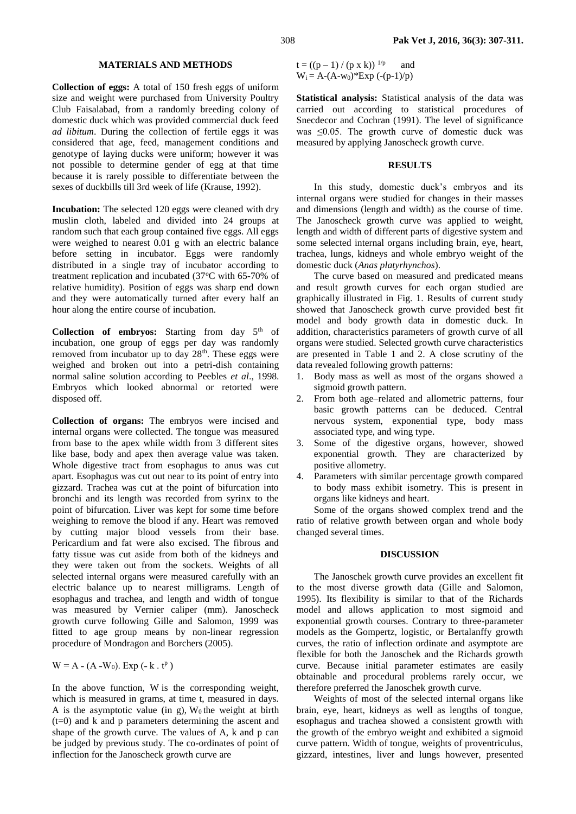### **MATERIALS AND METHODS**

**Collection of eggs:** A total of 150 fresh eggs of uniform size and weight were purchased from University Poultry Club Faisalabad, from a randomly breeding colony of domestic duck which was provided commercial duck feed *ad libitum*. During the collection of fertile eggs it was considered that age, feed, management conditions and genotype of laying ducks were uniform; however it was not possible to determine gender of egg at that time because it is rarely possible to differentiate between the sexes of duckbills till 3rd week of life (Krause, 1992).

**Incubation:** The selected 120 eggs were cleaned with dry muslin cloth, labeled and divided into 24 groups at random such that each group contained five eggs. All eggs were weighed to nearest 0.01 g with an electric balance before setting in incubator. Eggs were randomly distributed in a single tray of incubator according to treatment replication and incubated (37°C with 65-70% of relative humidity). Position of eggs was sharp end down and they were automatically turned after every half an hour along the entire course of incubation.

Collection of embryos: Starting from day 5<sup>th</sup> of incubation, one group of eggs per day was randomly removed from incubator up to day 28<sup>th</sup>. These eggs were weighed and broken out into a petri-dish containing normal saline solution according to Peebles *et al*., 1998. Embryos which looked abnormal or retorted were disposed off.

**Collection of organs:** The embryos were incised and internal organs were collected. The tongue was measured from base to the apex while width from 3 different sites like base, body and apex then average value was taken. Whole digestive tract from esophagus to anus was cut apart. Esophagus was cut out near to its point of entry into gizzard. Trachea was cut at the point of bifurcation into bronchi and its length was recorded from syrinx to the point of bifurcation. Liver was kept for some time before weighing to remove the blood if any. Heart was removed by cutting major blood vessels from their base. Pericardium and fat were also excised. The fibrous and fatty tissue was cut aside from both of the kidneys and they were taken out from the sockets. Weights of all selected internal organs were measured carefully with an electric balance up to nearest milligrams. Length of esophagus and trachea, and length and width of tongue was measured by Vernier caliper (mm). Janoscheck growth curve following Gille and Salomon, 1999 was fitted to age group means by non-linear regression procedure of Mondragon and Borchers (2005).

 $W = A - (A - W_0)$ . Exp  $(-k \cdot t^p)$ 

In the above function, W is the corresponding weight, which is measured in grams, at time t, measured in days. A is the asymptotic value (in g),  $W_0$  the weight at birth (t=0) and k and p parameters determining the ascent and shape of the growth curve. The values of A, k and p can be judged by previous study. The co-ordinates of point of inflection for the Janoscheck growth curve are

 $t = ((p - 1) / (p \times k))^{1/p}$  and  $W_i = A - (A-w_0)^*Exp(-p-1)/p$ 

**Statistical analysis:** Statistical analysis of the data was carried out according to statistical procedures of Snecdecor and Cochran (1991). The level of significance was  $\leq 0.05$ . The growth curve of domestic duck was measured by applying Janoscheck growth curve.

### **RESULTS**

In this study, domestic duck's embryos and its internal organs were studied for changes in their masses and dimensions (length and width) as the course of time. The Janoscheck growth curve was applied to weight, length and width of different parts of digestive system and some selected internal organs including brain, eye, heart, trachea, lungs, kidneys and whole embryo weight of the domestic duck (*Anas platyrhynchos*).

The curve based on measured and predicated means and result growth curves for each organ studied are graphically illustrated in Fig. 1. Results of current study showed that Janoscheck growth curve provided best fit model and body growth data in domestic duck. In addition, characteristics parameters of growth curve of all organs were studied. Selected growth curve characteristics are presented in Table 1 and 2. A close scrutiny of the data revealed following growth patterns:

- 1. Body mass as well as most of the organs showed a sigmoid growth pattern.
- 2. From both age–related and allometric patterns, four basic growth patterns can be deduced. Central nervous system, exponential type, body mass associated type, and wing type.
- 3. Some of the digestive organs, however, showed exponential growth. They are characterized by positive allometry.
- 4. Parameters with similar percentage growth compared to body mass exhibit isometry. This is present in organs like kidneys and heart.

Some of the organs showed complex trend and the ratio of relative growth between organ and whole body changed several times.

## **DISCUSSION**

The Janoschek growth curve provides an excellent fit to the most diverse growth data (Gille and Salomon, 1995). Its flexibility is similar to that of the Richards model and allows application to most sigmoid and exponential growth courses. Contrary to three-parameter models as the Gompertz, logistic, or Bertalanffy growth curves, the ratio of inflection ordinate and asymptote are flexible for both the Janoschek and the Richards growth curve. Because initial parameter estimates are easily obtainable and procedural problems rarely occur, we therefore preferred the Janoschek growth curve.

Weights of most of the selected internal organs like brain, eye, heart, kidneys as well as lengths of tongue, esophagus and trachea showed a consistent growth with the growth of the embryo weight and exhibited a sigmoid curve pattern. Width of tongue, weights of proventriculus, gizzard, intestines, liver and lungs however, presented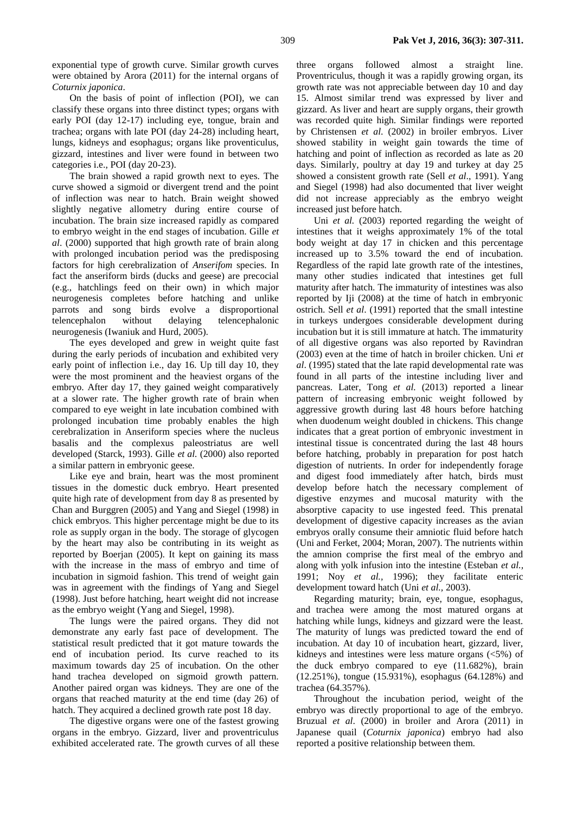exponential type of growth curve. Similar growth curves were obtained by Arora (2011) for the internal organs of *Coturnix japonica*.

On the basis of point of inflection (POI), we can classify these organs into three distinct types; organs with early POI (day 12-17) including eye, tongue, brain and trachea; organs with late POI (day 24-28) including heart, lungs, kidneys and esophagus; organs like proventiculus, gizzard, intestines and liver were found in between two categories i.e., POI (day 20-23).

The brain showed a rapid growth next to eyes. The curve showed a sigmoid or divergent trend and the point of inflection was near to hatch. Brain weight showed slightly negative allometry during entire course of incubation. The brain size increased rapidly as compared to embryo weight in the end stages of incubation. Gille *et al*. (2000) supported that high growth rate of brain along with prolonged incubation period was the predisposing factors for high cerebralization of *Anserifom* species. In fact the anseriform birds (ducks and geese) are precocial (e.g., hatchlings feed on their own) in which major neurogenesis completes before hatching and unlike parrots and song birds evolve a disproportional telencephalon without delaying telencephalonic neurogenesis (Iwaniuk and Hurd, 2005).

The eyes developed and grew in weight quite fast during the early periods of incubation and exhibited very early point of inflection i.e., day 16. Up till day 10, they were the most prominent and the heaviest organs of the embryo. After day 17, they gained weight comparatively at a slower rate. The higher growth rate of brain when compared to eye weight in late incubation combined with prolonged incubation time probably enables the high cerebralization in Anseriform species where the nucleus basalis and the complexus paleostriatus are well developed (Starck, 1993). Gille *et al.* (2000) also reported a similar pattern in embryonic geese.

Like eye and brain, heart was the most prominent tissues in the domestic duck embryo. Heart presented quite high rate of development from day 8 as presented by Chan and Burggren (2005) and Yang and Siegel (1998) in chick embryos. This higher percentage might be due to its role as supply organ in the body. The storage of glycogen by the heart may also be contributing in its weight as reported by Boerjan (2005). It kept on gaining its mass with the increase in the mass of embryo and time of incubation in sigmoid fashion. This trend of weight gain was in agreement with the findings of Yang and Siegel (1998). Just before hatching, heart weight did not increase as the embryo weight (Yang and Siegel, 1998).

The lungs were the paired organs. They did not demonstrate any early fast pace of development. The statistical result predicted that it got mature towards the end of incubation period. Its curve reached to its maximum towards day 25 of incubation. On the other hand trachea developed on sigmoid growth pattern. Another paired organ was kidneys. They are one of the organs that reached maturity at the end time (day 26) of hatch. They acquired a declined growth rate post 18 day.

The digestive organs were one of the fastest growing organs in the embryo. Gizzard, liver and proventriculus exhibited accelerated rate. The growth curves of all these

three organs followed almost a straight line. Proventriculus, though it was a rapidly growing organ, its growth rate was not appreciable between day 10 and day 15. Almost similar trend was expressed by liver and gizzard. As liver and heart are supply organs, their growth was recorded quite high. Similar findings were reported by Christensen *et al*. (2002) in broiler embryos. Liver showed stability in weight gain towards the time of hatching and point of inflection as recorded as late as 20 days. Similarly, poultry at day 19 and turkey at day 25 showed a consistent growth rate (Sell *et al*., 1991). Yang and Siegel (1998) had also documented that liver weight did not increase appreciably as the embryo weight increased just before hatch.

Uni *et al.* (2003) reported regarding the weight of intestines that it weighs approximately 1% of the total body weight at day 17 in chicken and this percentage increased up to 3.5% toward the end of incubation. Regardless of the rapid late growth rate of the intestines, many other studies indicated that intestines get full maturity after hatch. The immaturity of intestines was also reported by Iji (2008) at the time of hatch in embryonic ostrich. Sell *et al*. (1991) reported that the small intestine in turkeys undergoes considerable development during incubation but it is still immature at hatch. The immaturity of all digestive organs was also reported by Ravindran (2003) even at the time of hatch in broiler chicken. Uni *et al*. (1995) stated that the late rapid developmental rate was found in all parts of the intestine including liver and pancreas. Later, Tong *et al.* (2013) reported a linear pattern of increasing embryonic weight followed by aggressive growth during last 48 hours before hatching when duodenum weight doubled in chickens. This change indicates that a great portion of embryonic investment in intestinal tissue is concentrated during the last 48 hours before hatching, probably in preparation for post hatch digestion of nutrients. In order for independently forage and digest food immediately after hatch, birds must develop before hatch the necessary complement of digestive enzymes and mucosal maturity with the absorptive capacity to use ingested feed. This prenatal development of digestive capacity increases as the avian embryos orally consume their amniotic fluid before hatch (Uni and Ferket, 2004; Moran, 2007). The nutrients within the amnion comprise the first meal of the embryo and along with yolk infusion into the intestine (Esteban *et al.,* 1991; Noy *et al.,* 1996); they facilitate enteric development toward hatch (Uni *et al.,* 2003).

Regarding maturity; brain, eye, tongue, esophagus, and trachea were among the most matured organs at hatching while lungs, kidneys and gizzard were the least. The maturity of lungs was predicted toward the end of incubation. At day 10 of incubation heart, gizzard, liver, kidneys and intestines were less mature organs (<5%) of the duck embryo compared to eye (11.682%), brain (12.251%), tongue (15.931%), esophagus (64.128%) and trachea (64.357%).

Throughout the incubation period, weight of the embryo was directly proportional to age of the embryo. Bruzual *et al*. (2000) in broiler and Arora (2011) in Japanese quail (*Coturnix japonica*) embryo had also reported a positive relationship between them.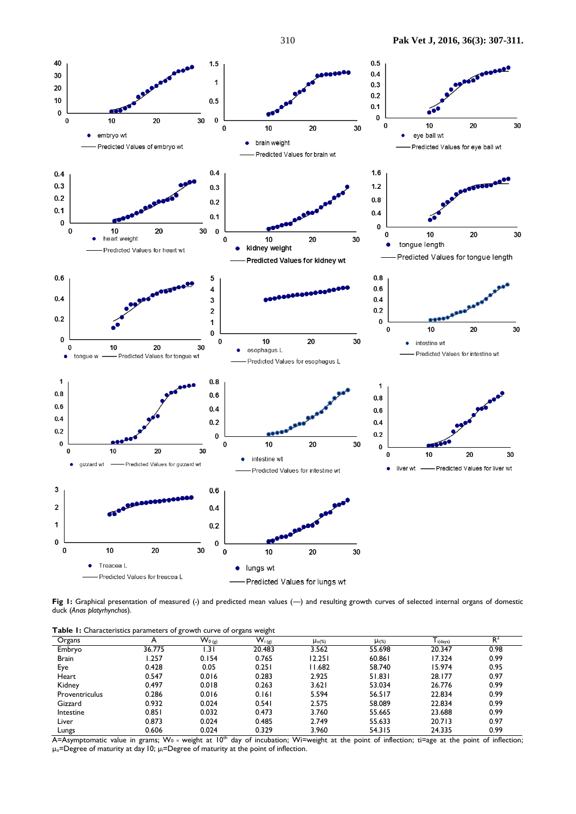

Fig 1: Graphical presentation of measured (-) and predicted mean values (--) and resulting growth curves of selected internal organs of domestic duck (*Anas platyrhynchos*).

**Table 1:** Characteristics parameters of growth curve of organs weight

| Organs         | . .<br>A | $W_{0(g)}$  | ີ<br>ັ<br>$W_{i(g)}$ | $\mu_{o(\%)}$ | $\mu_{i(\%)}$ | l i(days) | $R^2$ |
|----------------|----------|-------------|----------------------|---------------|---------------|-----------|-------|
| Embryo         | 36.775   | $\vert$ .31 | 20.483               | 3.562         | 55.698        | 20.347    | 0.98  |
| <b>Brain</b>   | .257     | 0.154       | 0.765                | 12.251        | 60.861        | 17.324    | 0.99  |
| Eye            | 0.428    | 0.05        | 0.251                | 11.682        | 58.740        | 15.974    | 0.95  |
| Heart          | 0.547    | 0.016       | 0.283                | 2.925         | 51.831        | 28.177    | 0.97  |
| Kidney         | 0.497    | 0.018       | 0.263                | 3.621         | 53.034        | 26.776    | 0.99  |
| Proventriculus | 0.286    | 0.016       | 0.161                | 5.594         | 56.517        | 22.834    | 0.99  |
| Gizzard        | 0.932    | 0.024       | 0.541                | 2.575         | 58.089        | 22.834    | 0.99  |
| Intestine      | 0.851    | 0.032       | 0.473                | 3.760         | 55.665        | 23.688    | 0.99  |
| Liver          | 0.873    | 0.024       | 0.485                | 2.749         | 55.633        | 20.713    | 0.97  |
| Lungs          | 0.606    | 0.024       | 0.329                | 3.960         | 54.315        | 24.335    | 0.99  |

A=Asymptomatic value in grams; W<sub>0</sub> = weight at 10<sup>th</sup> day of incubation; Wi=weight at the point of inflection; ti=age at the point of inflection; µo=Degree of maturity at day 10; µi=Degree of maturity at the point of inflection.